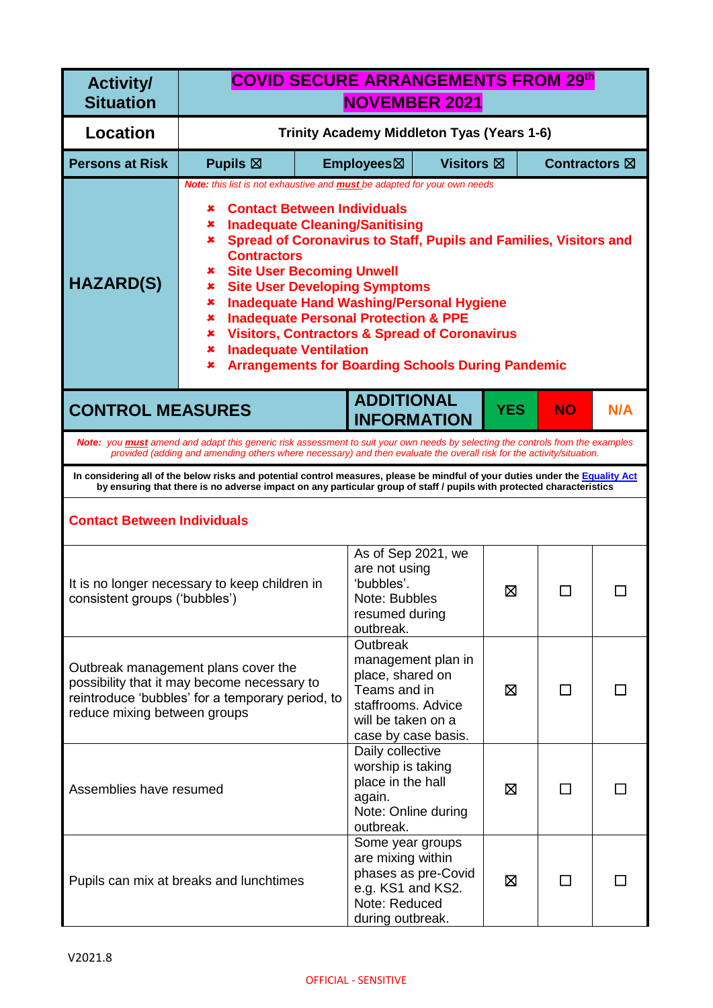| <b>Activity/</b><br><b>Situation</b> |                                                                                                                                                                                                                                                                                                                                                                                                                                                                                                                                                                                                                                                                    | <b>COVID SECURE ARRANGEMENTS FROM 29th</b><br><b>NOVEMBER 2021</b> |                                                                                                                 |                                            |            |                         |     |
|--------------------------------------|--------------------------------------------------------------------------------------------------------------------------------------------------------------------------------------------------------------------------------------------------------------------------------------------------------------------------------------------------------------------------------------------------------------------------------------------------------------------------------------------------------------------------------------------------------------------------------------------------------------------------------------------------------------------|--------------------------------------------------------------------|-----------------------------------------------------------------------------------------------------------------|--------------------------------------------|------------|-------------------------|-----|
| <b>Location</b>                      |                                                                                                                                                                                                                                                                                                                                                                                                                                                                                                                                                                                                                                                                    |                                                                    |                                                                                                                 | Trinity Academy Middleton Tyas (Years 1-6) |            |                         |     |
| <b>Persons at Risk</b>               | Pupils $\boxtimes$                                                                                                                                                                                                                                                                                                                                                                                                                                                                                                                                                                                                                                                 |                                                                    | Employees⊠                                                                                                      | <b>Visitors</b> ⊠                          |            | Contractors $\boxtimes$ |     |
| <b>HAZARD(S)</b>                     | Note: this list is not exhaustive and <b>must</b> be adapted for your own needs<br><b>Contact Between Individuals</b><br>x<br><b>Inadequate Cleaning/Sanitising</b><br>×<br>Spread of Coronavirus to Staff, Pupils and Families, Visitors and<br>$\mathbf x$ .<br><b>Contractors</b><br><b>Site User Becoming Unwell</b><br>x<br><b>Site User Developing Symptoms</b><br>×<br><b>Inadequate Hand Washing/Personal Hygiene</b><br>×<br><b>Inadequate Personal Protection &amp; PPE</b><br>×<br><b>Visitors, Contractors &amp; Spread of Coronavirus</b><br>×<br><b>Inadequate Ventilation</b><br>×<br><b>Arrangements for Boarding Schools During Pandemic</b><br>× |                                                                    |                                                                                                                 |                                            |            |                         |     |
| <b>CONTROL MEASURES</b>              |                                                                                                                                                                                                                                                                                                                                                                                                                                                                                                                                                                                                                                                                    |                                                                    | <b>ADDITIONAL</b><br><b>INFORMATION</b>                                                                         |                                            | <b>YES</b> | <b>NO</b>               | N/A |
|                                      | Note: you <b>must</b> amend and adapt this generic risk assessment to suit your own needs by selecting the controls from the examples<br>provided (adding and amending others where necessary) and then evaluate the overall risk for the activity/situation.                                                                                                                                                                                                                                                                                                                                                                                                      |                                                                    |                                                                                                                 |                                            |            |                         |     |
|                                      | In considering all of the below risks and potential control measures, please be mindful of your duties under the Equality Act<br>by ensuring that there is no adverse impact on any particular group of staff / pupils with protected characteristics                                                                                                                                                                                                                                                                                                                                                                                                              |                                                                    |                                                                                                                 |                                            |            |                         |     |
| <b>Contact Between Individuals</b>   |                                                                                                                                                                                                                                                                                                                                                                                                                                                                                                                                                                                                                                                                    |                                                                    |                                                                                                                 |                                            |            |                         |     |
| consistent groups ('bubbles')        | It is no longer necessary to keep children in                                                                                                                                                                                                                                                                                                                                                                                                                                                                                                                                                                                                                      |                                                                    | As of Sep 2021, we<br>are not using<br>'bubbles'.<br>Note: Bubbles<br>resumed during<br>outbreak.               |                                            | ⊠          |                         |     |
| reduce mixing between groups         | Outbreak management plans cover the<br>possibility that it may become necessary to<br>reintroduce 'bubbles' for a temporary period, to                                                                                                                                                                                                                                                                                                                                                                                                                                                                                                                             |                                                                    | Outbreak<br>place, shared on<br>Teams and in<br>staffrooms. Advice<br>will be taken on a<br>case by case basis. | management plan in                         | ⊠          | $\mathsf{L}$            |     |
| Assemblies have resumed              |                                                                                                                                                                                                                                                                                                                                                                                                                                                                                                                                                                                                                                                                    |                                                                    | Daily collective<br>worship is taking<br>place in the hall<br>again.<br>Note: Online during<br>outbreak.        |                                            | ⊠          | $\mathsf{L}$            |     |
|                                      | Pupils can mix at breaks and lunchtimes                                                                                                                                                                                                                                                                                                                                                                                                                                                                                                                                                                                                                            |                                                                    | Some year groups<br>are mixing within<br>e.g. KS1 and KS2.<br>Note: Reduced<br>during outbreak.                 | phases as pre-Covid                        | ⊠          |                         |     |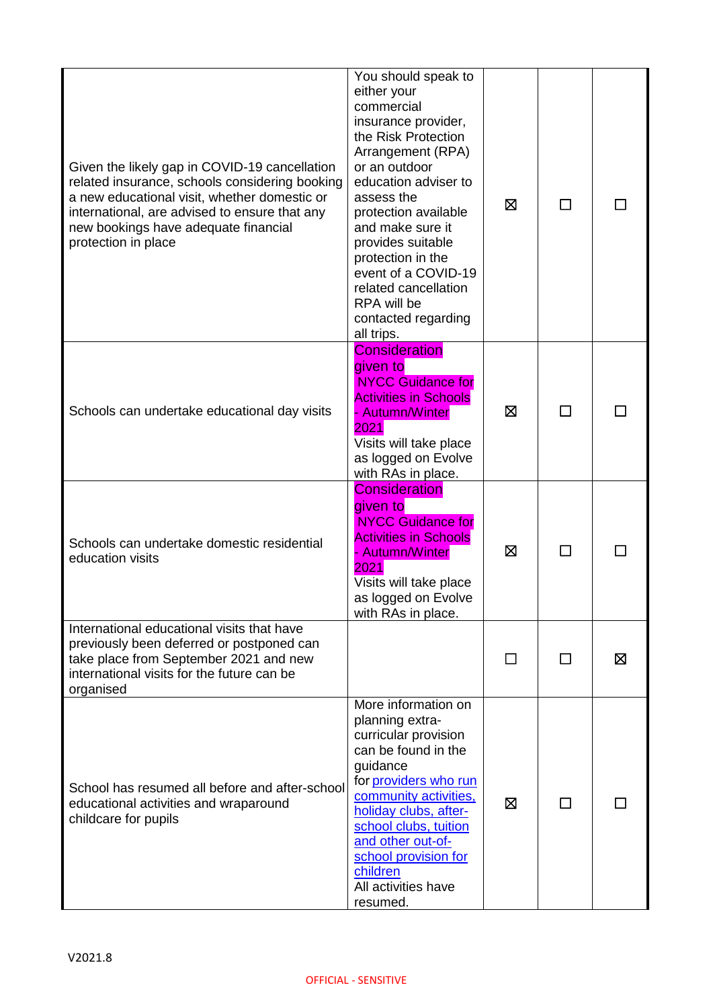| Given the likely gap in COVID-19 cancellation<br>related insurance, schools considering booking<br>a new educational visit, whether domestic or<br>international, are advised to ensure that any<br>new bookings have adequate financial<br>protection in place | You should speak to<br>either your<br>commercial<br>insurance provider,<br>the Risk Protection<br>Arrangement (RPA)<br>or an outdoor<br>education adviser to<br>assess the<br>protection available<br>and make sure it<br>provides suitable<br>protection in the<br>event of a COVID-19<br>related cancellation<br>RPA will be<br>contacted regarding<br>all trips. | ⊠       | ΙI |   |
|-----------------------------------------------------------------------------------------------------------------------------------------------------------------------------------------------------------------------------------------------------------------|---------------------------------------------------------------------------------------------------------------------------------------------------------------------------------------------------------------------------------------------------------------------------------------------------------------------------------------------------------------------|---------|----|---|
| Schools can undertake educational day visits                                                                                                                                                                                                                    | <b>Consideration</b><br>given to<br><b>NYCC Guidance for</b><br><b>Activities in Schools</b><br>- Autumn/Winter<br>2021<br>Visits will take place<br>as logged on Evolve<br>with RAs in place.                                                                                                                                                                      | 区       |    |   |
| Schools can undertake domestic residential<br>education visits                                                                                                                                                                                                  | <b>Consideration</b><br>given to<br><b>NYCC Guidance for</b><br><b>Activities in Schools</b><br><b>Autumn/Winter</b><br>2021<br>Visits will take place<br>as logged on Evolve<br>with RAs in place.                                                                                                                                                                 | ⊠       | П  |   |
| International educational visits that have<br>previously been deferred or postponed can<br>take place from September 2021 and new<br>international visits for the future can be<br>organised                                                                    |                                                                                                                                                                                                                                                                                                                                                                     | $\perp$ | ΙI | ⊠ |
| School has resumed all before and after-school<br>educational activities and wraparound<br>childcare for pupils                                                                                                                                                 | More information on<br>planning extra-<br>curricular provision<br>can be found in the<br>guidance<br>for providers who run<br>community activities,<br>holiday clubs, after-<br>school clubs, tuition<br>and other out-of-<br>school provision for<br>children<br>All activities have<br>resumed.                                                                   | ⊠       | ΙI |   |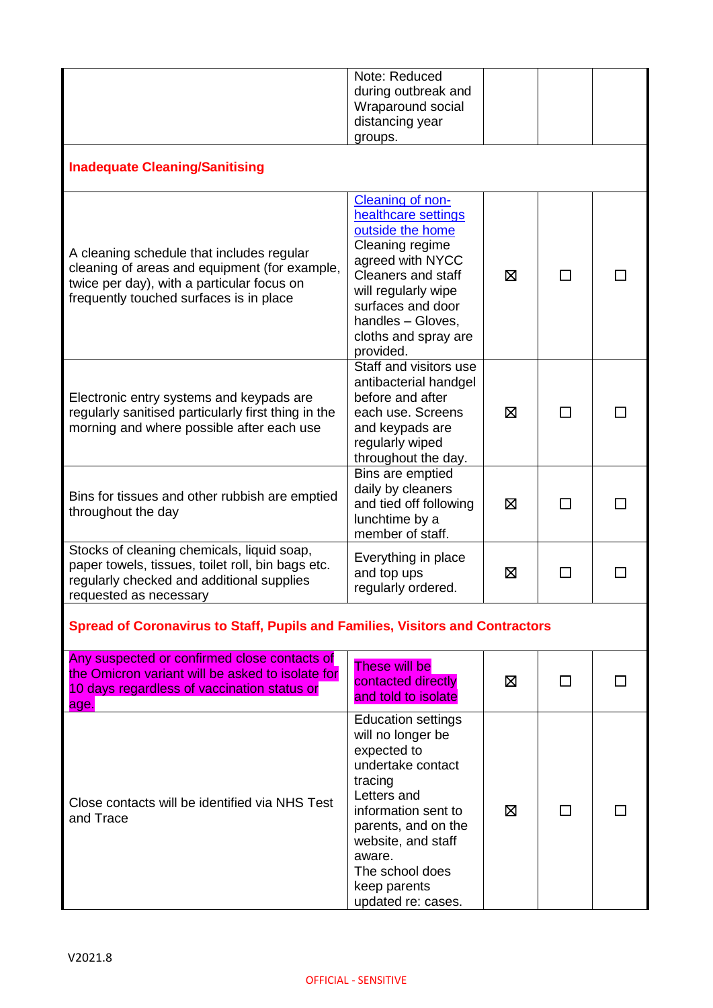|                                                                                                                                                                                     | Note: Reduced<br>during outbreak and<br>Wraparound social<br>distancing year<br>groups.                                                                                                                                                             |   |              |  |
|-------------------------------------------------------------------------------------------------------------------------------------------------------------------------------------|-----------------------------------------------------------------------------------------------------------------------------------------------------------------------------------------------------------------------------------------------------|---|--------------|--|
| <b>Inadequate Cleaning/Sanitising</b>                                                                                                                                               |                                                                                                                                                                                                                                                     |   |              |  |
| A cleaning schedule that includes regular<br>cleaning of areas and equipment (for example,<br>twice per day), with a particular focus on<br>frequently touched surfaces is in place | Cleaning of non-<br>healthcare settings<br>outside the home<br>Cleaning regime<br>agreed with NYCC<br>Cleaners and staff<br>will regularly wipe<br>surfaces and door<br>handles - Gloves,<br>cloths and spray are<br>provided.                      | 区 | П            |  |
| Electronic entry systems and keypads are<br>regularly sanitised particularly first thing in the<br>morning and where possible after each use                                        | Staff and visitors use<br>antibacterial handgel<br>before and after<br>each use. Screens<br>and keypads are<br>regularly wiped<br>throughout the day.                                                                                               | 区 | П            |  |
| Bins for tissues and other rubbish are emptied<br>throughout the day                                                                                                                | Bins are emptied<br>daily by cleaners<br>and tied off following<br>lunchtime by a<br>member of staff.                                                                                                                                               | 区 | П            |  |
| Stocks of cleaning chemicals, liquid soap,<br>paper towels, tissues, toilet roll, bin bags etc.<br>regularly checked and additional supplies<br>requested as necessary              | Everything in place<br>and top ups<br>regularly ordered.                                                                                                                                                                                            | 区 |              |  |
| <b>Spread of Coronavirus to Staff, Pupils and Families, Visitors and Contractors</b>                                                                                                |                                                                                                                                                                                                                                                     |   |              |  |
| Any suspected or confirmed close contacts of<br>the Omicron variant will be asked to isolate for<br>10 days regardless of vaccination status or<br>age.                             | These will be<br>contacted directly<br>and told to isolate                                                                                                                                                                                          | ⊠ | $\mathsf{L}$ |  |
| Close contacts will be identified via NHS Test<br>and Trace                                                                                                                         | <b>Education settings</b><br>will no longer be<br>expected to<br>undertake contact<br>tracing<br>Letters and<br>information sent to<br>parents, and on the<br>website, and staff<br>aware.<br>The school does<br>keep parents<br>updated re: cases. | ⊠ |              |  |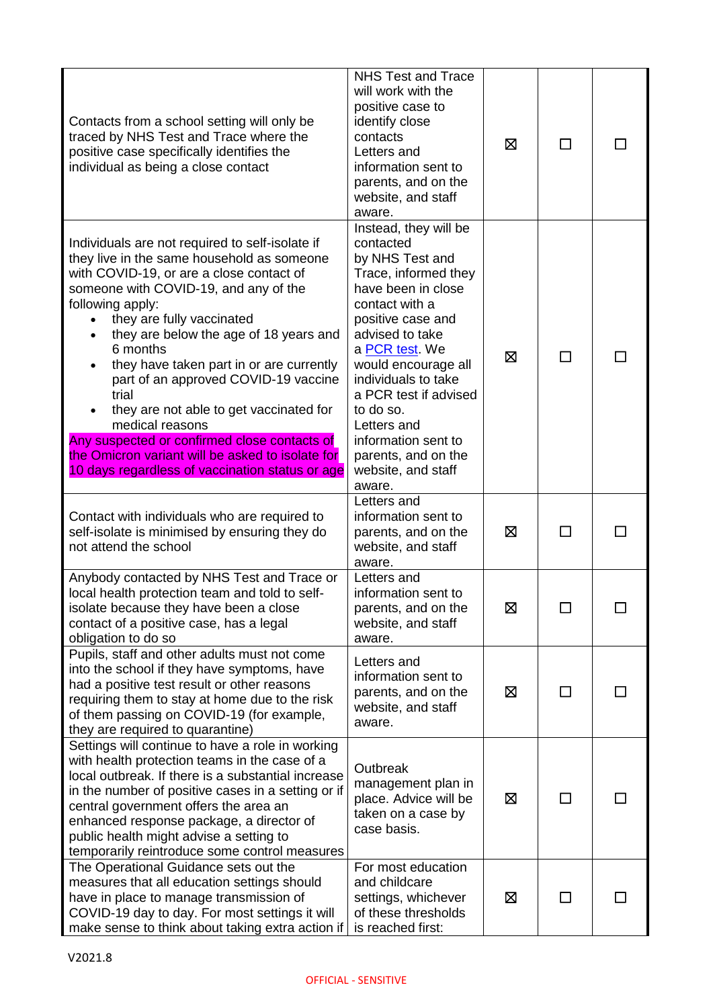| Contacts from a school setting will only be<br>traced by NHS Test and Trace where the<br>positive case specifically identifies the<br>individual as being a close contact                                                                                                                                                                                                                                                                                                                                                                                                                                                | <b>NHS Test and Trace</b><br>will work with the<br>positive case to<br>identify close<br>contacts<br>Letters and<br>information sent to<br>parents, and on the<br>website, and staff<br>aware.                                                                                                                                                                   | ⊠ | $\sim$        |  |
|--------------------------------------------------------------------------------------------------------------------------------------------------------------------------------------------------------------------------------------------------------------------------------------------------------------------------------------------------------------------------------------------------------------------------------------------------------------------------------------------------------------------------------------------------------------------------------------------------------------------------|------------------------------------------------------------------------------------------------------------------------------------------------------------------------------------------------------------------------------------------------------------------------------------------------------------------------------------------------------------------|---|---------------|--|
| Individuals are not required to self-isolate if<br>they live in the same household as someone<br>with COVID-19, or are a close contact of<br>someone with COVID-19, and any of the<br>following apply:<br>they are fully vaccinated<br>they are below the age of 18 years and<br>$\bullet$<br>6 months<br>they have taken part in or are currently<br>part of an approved COVID-19 vaccine<br>trial<br>they are not able to get vaccinated for<br>medical reasons<br>Any suspected or confirmed close contacts of<br>the Omicron variant will be asked to isolate for<br>10 days regardless of vaccination status or age | Instead, they will be<br>contacted<br>by NHS Test and<br>Trace, informed they<br>have been in close<br>contact with a<br>positive case and<br>advised to take<br>a PCR test. We<br>would encourage all<br>individuals to take<br>a PCR test if advised<br>to do so.<br>Letters and<br>information sent to<br>parents, and on the<br>website, and staff<br>aware. | ⊠ |               |  |
| Contact with individuals who are required to<br>self-isolate is minimised by ensuring they do<br>not attend the school                                                                                                                                                                                                                                                                                                                                                                                                                                                                                                   | Letters and<br>information sent to<br>parents, and on the<br>website, and staff<br>aware.                                                                                                                                                                                                                                                                        | ⊠ |               |  |
| Anybody contacted by NHS Test and Trace or<br>local health protection team and told to self-<br>isolate because they have been a close<br>contact of a positive case, has a legal<br>obligation to do so                                                                                                                                                                                                                                                                                                                                                                                                                 | Letters and<br>information sent to<br>parents, and on the<br>website, and staff<br>aware.                                                                                                                                                                                                                                                                        | 区 |               |  |
| Pupils, staff and other adults must not come<br>into the school if they have symptoms, have<br>had a positive test result or other reasons<br>requiring them to stay at home due to the risk<br>of them passing on COVID-19 (for example,<br>they are required to quarantine)                                                                                                                                                                                                                                                                                                                                            | Letters and<br>information sent to<br>parents, and on the<br>website, and staff<br>aware.                                                                                                                                                                                                                                                                        | ⊠ | $\mathcal{L}$ |  |
| Settings will continue to have a role in working<br>with health protection teams in the case of a<br>local outbreak. If there is a substantial increase<br>in the number of positive cases in a setting or if<br>central government offers the area an<br>enhanced response package, a director of<br>public health might advise a setting to<br>temporarily reintroduce some control measures                                                                                                                                                                                                                           | Outbreak<br>management plan in<br>place. Advice will be<br>taken on a case by<br>case basis.                                                                                                                                                                                                                                                                     | 区 |               |  |
| The Operational Guidance sets out the<br>measures that all education settings should<br>have in place to manage transmission of<br>COVID-19 day to day. For most settings it will<br>make sense to think about taking extra action if                                                                                                                                                                                                                                                                                                                                                                                    | For most education<br>and childcare<br>settings, whichever<br>of these thresholds<br>is reached first:                                                                                                                                                                                                                                                           | 区 | $\sim$        |  |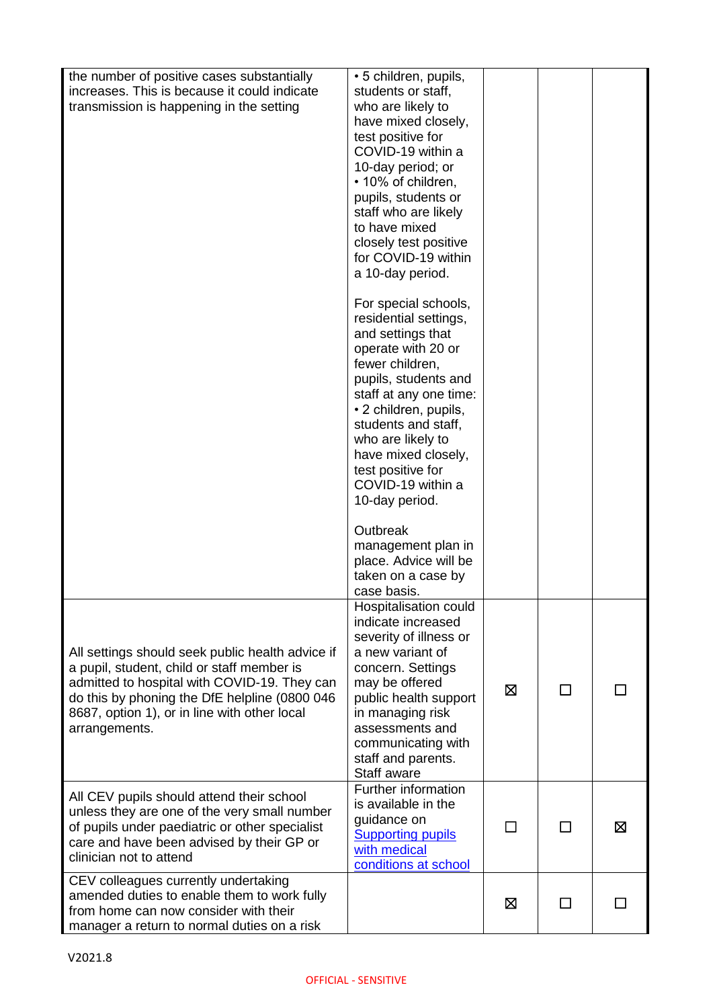| the number of positive cases substantially<br>increases. This is because it could indicate<br>transmission is happening in the setting                                                                                                                           | • 5 children, pupils,<br>students or staff,<br>who are likely to<br>have mixed closely,<br>test positive for<br>COVID-19 within a<br>10-day period; or<br>• 10% of children,<br>pupils, students or<br>staff who are likely<br>to have mixed<br>closely test positive<br>for COVID-19 within<br>a 10-day period.<br>For special schools,<br>residential settings,<br>and settings that<br>operate with 20 or<br>fewer children,<br>pupils, students and<br>staff at any one time:<br>• 2 children, pupils,<br>students and staff,<br>who are likely to<br>have mixed closely,<br>test positive for<br>COVID-19 within a<br>10-day period.<br>Outbreak |   |              |   |
|------------------------------------------------------------------------------------------------------------------------------------------------------------------------------------------------------------------------------------------------------------------|-------------------------------------------------------------------------------------------------------------------------------------------------------------------------------------------------------------------------------------------------------------------------------------------------------------------------------------------------------------------------------------------------------------------------------------------------------------------------------------------------------------------------------------------------------------------------------------------------------------------------------------------------------|---|--------------|---|
|                                                                                                                                                                                                                                                                  | management plan in<br>place. Advice will be<br>taken on a case by<br>case basis.                                                                                                                                                                                                                                                                                                                                                                                                                                                                                                                                                                      |   |              |   |
| All settings should seek public health advice if<br>a pupil, student, child or staff member is<br>admitted to hospital with COVID-19. They can<br>do this by phoning the DfE helpline (0800 046<br>8687, option 1), or in line with other local<br>arrangements. | Hospitalisation could<br>indicate increased<br>severity of illness or<br>a new variant of<br>concern. Settings<br>may be offered<br>public health support<br>in managing risk<br>assessments and<br>communicating with<br>staff and parents.<br>Staff aware                                                                                                                                                                                                                                                                                                                                                                                           | ⊠ | П            |   |
| All CEV pupils should attend their school<br>unless they are one of the very small number<br>of pupils under paediatric or other specialist<br>care and have been advised by their GP or<br>clinician not to attend                                              | Further information<br>is available in the<br>guidance on<br><b>Supporting pupils</b><br>with medical<br>conditions at school                                                                                                                                                                                                                                                                                                                                                                                                                                                                                                                         |   | $\mathsf{L}$ | ⊠ |
| CEV colleagues currently undertaking<br>amended duties to enable them to work fully<br>from home can now consider with their<br>manager a return to normal duties on a risk                                                                                      |                                                                                                                                                                                                                                                                                                                                                                                                                                                                                                                                                                                                                                                       | ⊠ | $\Box$       |   |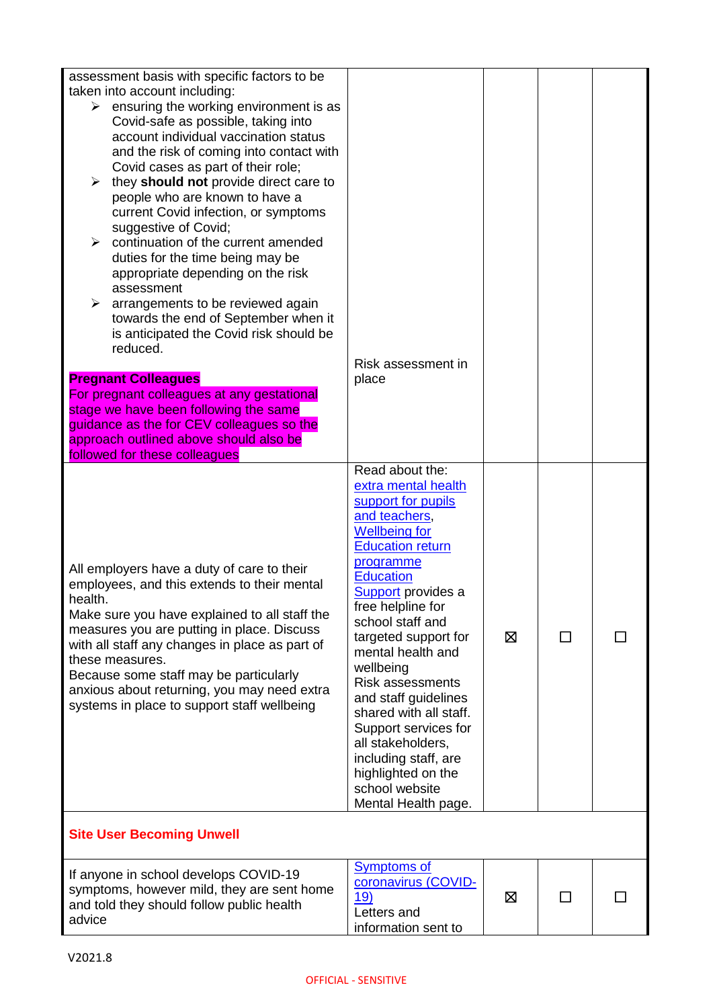| If anyone in school develops COVID-19<br>symptoms, however mild, they are sent home<br>and told they should follow public health<br>advice                                                                                                                                                                                                                                                                                                                                                                                                                                                                                                                                                                                                     | <b>Symptoms of</b><br>coronavirus (COVID-<br>19)<br>Letters and<br>information sent to                                                                                                                                                                                                                                                                                                                                                                                                                             | 区 | П |  |
|------------------------------------------------------------------------------------------------------------------------------------------------------------------------------------------------------------------------------------------------------------------------------------------------------------------------------------------------------------------------------------------------------------------------------------------------------------------------------------------------------------------------------------------------------------------------------------------------------------------------------------------------------------------------------------------------------------------------------------------------|--------------------------------------------------------------------------------------------------------------------------------------------------------------------------------------------------------------------------------------------------------------------------------------------------------------------------------------------------------------------------------------------------------------------------------------------------------------------------------------------------------------------|---|---|--|
| <b>Site User Becoming Unwell</b>                                                                                                                                                                                                                                                                                                                                                                                                                                                                                                                                                                                                                                                                                                               |                                                                                                                                                                                                                                                                                                                                                                                                                                                                                                                    |   |   |  |
| All employers have a duty of care to their<br>employees, and this extends to their mental<br>health.<br>Make sure you have explained to all staff the<br>measures you are putting in place. Discuss<br>with all staff any changes in place as part of<br>these measures.<br>Because some staff may be particularly<br>anxious about returning, you may need extra<br>systems in place to support staff wellbeing                                                                                                                                                                                                                                                                                                                               | Read about the:<br>extra mental health<br>support for pupils<br>and teachers,<br><b>Wellbeing for</b><br><b>Education return</b><br>programme<br><b>Education</b><br><b>Support</b> provides a<br>free helpline for<br>school staff and<br>targeted support for<br>mental health and<br>wellbeing<br><b>Risk assessments</b><br>and staff guidelines<br>shared with all staff.<br>Support services for<br>all stakeholders,<br>including staff, are<br>highlighted on the<br>school website<br>Mental Health page. | 区 | ⊓ |  |
| <b>Pregnant Colleagues</b><br>For pregnant colleagues at any gestational<br>stage we have been following the same<br>guidance as the for CEV colleagues so the<br>approach outlined above should also be<br>followed for these colleagues                                                                                                                                                                                                                                                                                                                                                                                                                                                                                                      | place                                                                                                                                                                                                                                                                                                                                                                                                                                                                                                              |   |   |  |
| assessment basis with specific factors to be<br>taken into account including:<br>$\triangleright$ ensuring the working environment is as<br>Covid-safe as possible, taking into<br>account individual vaccination status<br>and the risk of coming into contact with<br>Covid cases as part of their role;<br>$\triangleright$ they should not provide direct care to<br>people who are known to have a<br>current Covid infection, or symptoms<br>suggestive of Covid;<br>continuation of the current amended<br>duties for the time being may be<br>appropriate depending on the risk<br>assessment<br>arrangements to be reviewed again<br>➤<br>towards the end of September when it<br>is anticipated the Covid risk should be<br>reduced. | Risk assessment in                                                                                                                                                                                                                                                                                                                                                                                                                                                                                                 |   |   |  |
|                                                                                                                                                                                                                                                                                                                                                                                                                                                                                                                                                                                                                                                                                                                                                |                                                                                                                                                                                                                                                                                                                                                                                                                                                                                                                    |   |   |  |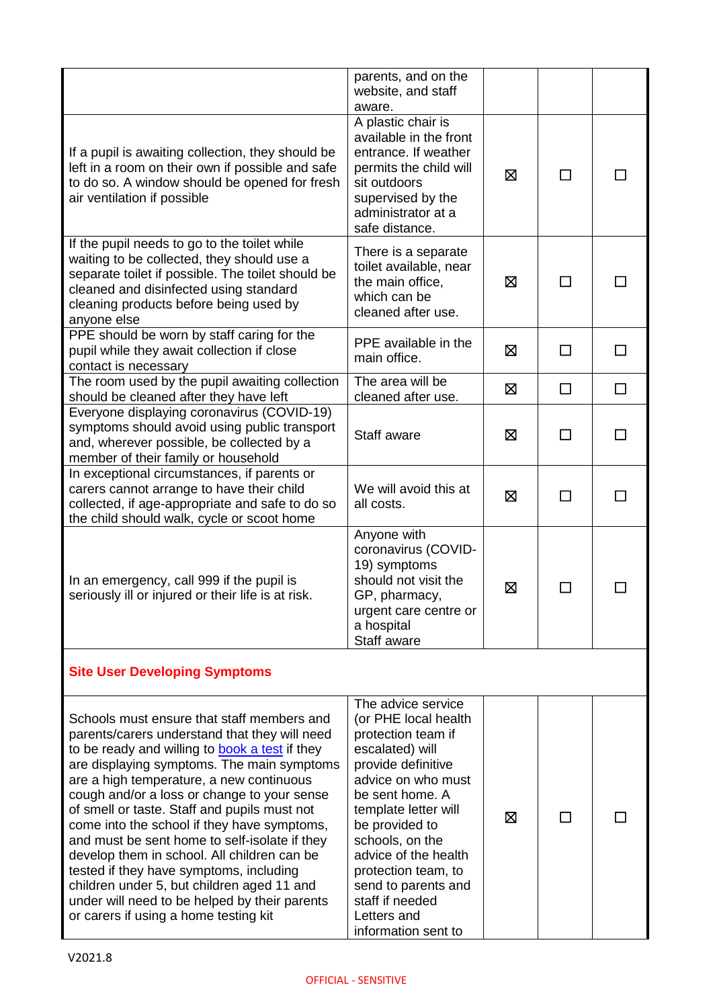|                                                                                                                                                                                                                                                                                                                                                                                                                                                                                                                                                                                                                                                                          | parents, and on the<br>website, and staff<br>aware.                                                                                                                                                                                                                                                                                            |   |        |        |
|--------------------------------------------------------------------------------------------------------------------------------------------------------------------------------------------------------------------------------------------------------------------------------------------------------------------------------------------------------------------------------------------------------------------------------------------------------------------------------------------------------------------------------------------------------------------------------------------------------------------------------------------------------------------------|------------------------------------------------------------------------------------------------------------------------------------------------------------------------------------------------------------------------------------------------------------------------------------------------------------------------------------------------|---|--------|--------|
| If a pupil is awaiting collection, they should be<br>left in a room on their own if possible and safe<br>to do so. A window should be opened for fresh<br>air ventilation if possible                                                                                                                                                                                                                                                                                                                                                                                                                                                                                    | A plastic chair is<br>available in the front<br>entrance. If weather<br>permits the child will<br>sit outdoors<br>supervised by the<br>administrator at a<br>safe distance.                                                                                                                                                                    | ⊠ | □      | ΙI     |
| If the pupil needs to go to the toilet while<br>waiting to be collected, they should use a<br>separate toilet if possible. The toilet should be<br>cleaned and disinfected using standard<br>cleaning products before being used by<br>anyone else                                                                                                                                                                                                                                                                                                                                                                                                                       | There is a separate<br>toilet available, near<br>the main office,<br>which can be<br>cleaned after use.                                                                                                                                                                                                                                        | ⊠ | ΙI     |        |
| PPE should be worn by staff caring for the<br>pupil while they await collection if close<br>contact is necessary                                                                                                                                                                                                                                                                                                                                                                                                                                                                                                                                                         | PPE available in the<br>main office.                                                                                                                                                                                                                                                                                                           | ⊠ | П      | $\Box$ |
| The room used by the pupil awaiting collection<br>should be cleaned after they have left                                                                                                                                                                                                                                                                                                                                                                                                                                                                                                                                                                                 | The area will be<br>cleaned after use.                                                                                                                                                                                                                                                                                                         | ⊠ | $\Box$ | $\Box$ |
| Everyone displaying coronavirus (COVID-19)<br>symptoms should avoid using public transport<br>and, wherever possible, be collected by a<br>member of their family or household                                                                                                                                                                                                                                                                                                                                                                                                                                                                                           | Staff aware                                                                                                                                                                                                                                                                                                                                    | ⊠ | □      | П      |
| In exceptional circumstances, if parents or<br>carers cannot arrange to have their child<br>collected, if age-appropriate and safe to do so<br>the child should walk, cycle or scoot home                                                                                                                                                                                                                                                                                                                                                                                                                                                                                | We will avoid this at<br>all costs.                                                                                                                                                                                                                                                                                                            | ⊠ |        |        |
| In an emergency, call 999 if the pupil is<br>seriously ill or injured or their life is at risk.                                                                                                                                                                                                                                                                                                                                                                                                                                                                                                                                                                          | Anyone with<br>coronavirus (COVID-<br>19) symptoms<br>should not visit the<br>GP, pharmacy,<br>urgent care centre or<br>a hospital<br>Staff aware                                                                                                                                                                                              | 区 |        |        |
| <b>Site User Developing Symptoms</b>                                                                                                                                                                                                                                                                                                                                                                                                                                                                                                                                                                                                                                     |                                                                                                                                                                                                                                                                                                                                                |   |        |        |
| Schools must ensure that staff members and<br>parents/carers understand that they will need<br>to be ready and willing to book a test if they<br>are displaying symptoms. The main symptoms<br>are a high temperature, a new continuous<br>cough and/or a loss or change to your sense<br>of smell or taste. Staff and pupils must not<br>come into the school if they have symptoms,<br>and must be sent home to self-isolate if they<br>develop them in school. All children can be<br>tested if they have symptoms, including<br>children under 5, but children aged 11 and<br>under will need to be helped by their parents<br>or carers if using a home testing kit | The advice service<br>(or PHE local health<br>protection team if<br>escalated) will<br>provide definitive<br>advice on who must<br>be sent home. A<br>template letter will<br>be provided to<br>schools, on the<br>advice of the health<br>protection team, to<br>send to parents and<br>staff if needed<br>Letters and<br>information sent to | ⊠ |        |        |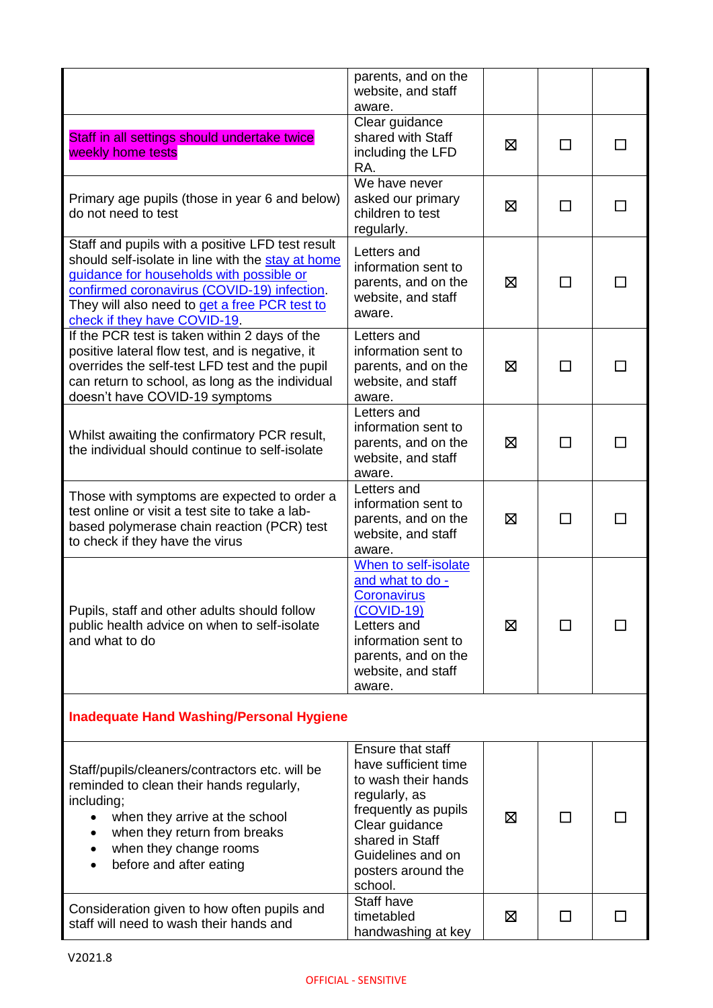|                                                                                                                                                                                                                                                                                   | parents, and on the                                                                                                                                                                                  |   |              |  |
|-----------------------------------------------------------------------------------------------------------------------------------------------------------------------------------------------------------------------------------------------------------------------------------|------------------------------------------------------------------------------------------------------------------------------------------------------------------------------------------------------|---|--------------|--|
|                                                                                                                                                                                                                                                                                   | website, and staff<br>aware.                                                                                                                                                                         |   |              |  |
| Staff in all settings should undertake twice<br>weekly home tests                                                                                                                                                                                                                 | Clear guidance<br>shared with Staff<br>including the LFD<br>RA.                                                                                                                                      | ⊠ | П            |  |
| Primary age pupils (those in year 6 and below)<br>do not need to test                                                                                                                                                                                                             | We have never<br>asked our primary<br>children to test<br>regularly.                                                                                                                                 | ⊠ | П            |  |
| Staff and pupils with a positive LFD test result<br>should self-isolate in line with the stay at home<br>guidance for households with possible or<br>confirmed coronavirus (COVID-19) infection.<br>They will also need to get a free PCR test to<br>check if they have COVID-19. | Letters and<br>information sent to<br>parents, and on the<br>website, and staff<br>aware.                                                                                                            | ⊠ | ΙI           |  |
| If the PCR test is taken within 2 days of the<br>positive lateral flow test, and is negative, it<br>overrides the self-test LFD test and the pupil<br>can return to school, as long as the individual<br>doesn't have COVID-19 symptoms                                           | Letters and<br>information sent to<br>parents, and on the<br>website, and staff<br>aware.                                                                                                            | ⊠ |              |  |
| Whilst awaiting the confirmatory PCR result,<br>the individual should continue to self-isolate                                                                                                                                                                                    | Letters and<br>information sent to<br>parents, and on the<br>website, and staff<br>aware.                                                                                                            | ⊠ | $\mathsf{L}$ |  |
| Those with symptoms are expected to order a<br>test online or visit a test site to take a lab-<br>based polymerase chain reaction (PCR) test<br>to check if they have the virus                                                                                                   | Letters and<br>information sent to<br>parents, and on the<br>website, and staff<br>aware.                                                                                                            | ⊠ |              |  |
| Pupils, staff and other adults should follow<br>public health advice on when to self-isolate<br>and what to do                                                                                                                                                                    | When to self-isolate<br>and what to do -<br><b>Coronavirus</b><br>(COVID-19)<br>Letters and<br>information sent to<br>parents, and on the<br>website, and staff<br>aware.                            | ⊠ | ΙI           |  |
| <b>Inadequate Hand Washing/Personal Hygiene</b>                                                                                                                                                                                                                                   |                                                                                                                                                                                                      |   |              |  |
| Staff/pupils/cleaners/contractors etc. will be<br>reminded to clean their hands regularly,<br>including;<br>when they arrive at the school<br>when they return from breaks<br>when they change rooms<br>before and after eating                                                   | Ensure that staff<br>have sufficient time<br>to wash their hands<br>regularly, as<br>frequently as pupils<br>Clear guidance<br>shared in Staff<br>Guidelines and on<br>posters around the<br>school. | ⊠ | □            |  |
| Consideration given to how often pupils and<br>staff will need to wash their hands and                                                                                                                                                                                            | Staff have<br>timetabled<br>handwashing at key                                                                                                                                                       | ⊠ | □            |  |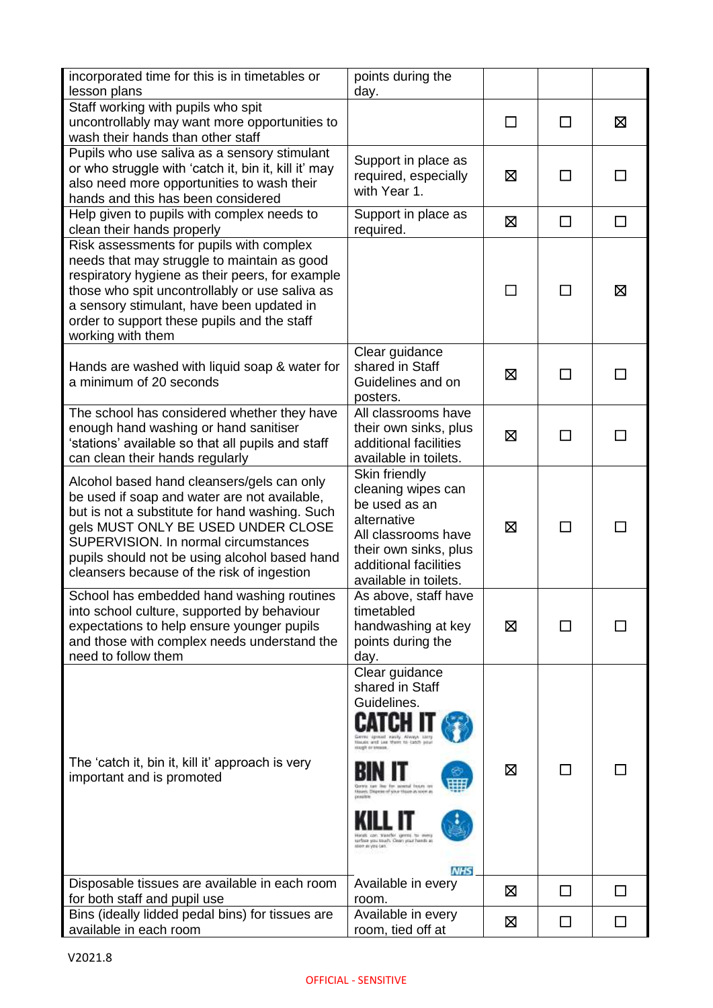| incorporated time for this is in timetables or<br>lesson plans                                                                                                                                                                                                                                                            | points during the<br>day.                                                                                                                                                                                                                                                                                                                         |        |        |    |
|---------------------------------------------------------------------------------------------------------------------------------------------------------------------------------------------------------------------------------------------------------------------------------------------------------------------------|---------------------------------------------------------------------------------------------------------------------------------------------------------------------------------------------------------------------------------------------------------------------------------------------------------------------------------------------------|--------|--------|----|
| Staff working with pupils who spit<br>uncontrollably may want more opportunities to<br>wash their hands than other staff                                                                                                                                                                                                  |                                                                                                                                                                                                                                                                                                                                                   | $\Box$ | П      | 区  |
| Pupils who use saliva as a sensory stimulant<br>or who struggle with 'catch it, bin it, kill it' may<br>also need more opportunities to wash their<br>hands and this has been considered                                                                                                                                  | Support in place as<br>required, especially<br>with Year 1.                                                                                                                                                                                                                                                                                       | ⊠      | П      | П  |
| Help given to pupils with complex needs to<br>clean their hands properly                                                                                                                                                                                                                                                  | Support in place as<br>required.                                                                                                                                                                                                                                                                                                                  | 区      | □      | П  |
| Risk assessments for pupils with complex<br>needs that may struggle to maintain as good<br>respiratory hygiene as their peers, for example<br>those who spit uncontrollably or use saliva as<br>a sensory stimulant, have been updated in<br>order to support these pupils and the staff<br>working with them             |                                                                                                                                                                                                                                                                                                                                                   | $\Box$ | П      | ⊠  |
| Hands are washed with liquid soap & water for<br>a minimum of 20 seconds                                                                                                                                                                                                                                                  | Clear guidance<br>shared in Staff<br>Guidelines and on<br>posters.                                                                                                                                                                                                                                                                                | 区      | $\Box$ |    |
| The school has considered whether they have<br>enough hand washing or hand sanitiser<br>'stations' available so that all pupils and staff<br>can clean their hands regularly                                                                                                                                              | All classrooms have<br>their own sinks, plus<br>additional facilities<br>available in toilets.                                                                                                                                                                                                                                                    | ⊠      | $\Box$ | П  |
| Alcohol based hand cleansers/gels can only<br>be used if soap and water are not available,<br>but is not a substitute for hand washing. Such<br>gels MUST ONLY BE USED UNDER CLOSE<br>SUPERVISION. In normal circumstances<br>pupils should not be using alcohol based hand<br>cleansers because of the risk of ingestion | Skin friendly<br>cleaning wipes can<br>be used as an<br>alternative<br>All classrooms have<br>their own sinks, plus<br>additional facilities<br>available in toilets.                                                                                                                                                                             | ⊠      | $\Box$ |    |
| School has embedded hand washing routines<br>into school culture, supported by behaviour<br>expectations to help ensure younger pupils<br>and those with complex needs understand the<br>need to follow them                                                                                                              | As above, staff have<br>timetabled<br>handwashing at key<br>points during the<br>day.                                                                                                                                                                                                                                                             | ⊠      | ΙI     |    |
| The 'catch it, bin it, kill it' approach is very<br>important and is promoted                                                                                                                                                                                                                                             | Clear guidance<br>shared in Staff<br>Guidelines.<br>Gerris spread easily Always sarry<br>Houses and Last Myers to carefullers.<br><b>DOUGH OF STORES</b><br>bar for several frours on<br>Usees. Dispese of your those as your as<br>tingle can transfer yarens to more<br>sirbo you touch. Clean your hands at<br>lost as you hand.<br><b>NHS</b> | ⊠      | ΙI     |    |
| Disposable tissues are available in each room<br>for both staff and pupil use                                                                                                                                                                                                                                             | Available in every<br>room.                                                                                                                                                                                                                                                                                                                       | 区      | П      | П  |
| Bins (ideally lidded pedal bins) for tissues are<br>available in each room                                                                                                                                                                                                                                                | Available in every<br>room, tied off at                                                                                                                                                                                                                                                                                                           | 区      | П      | ΙI |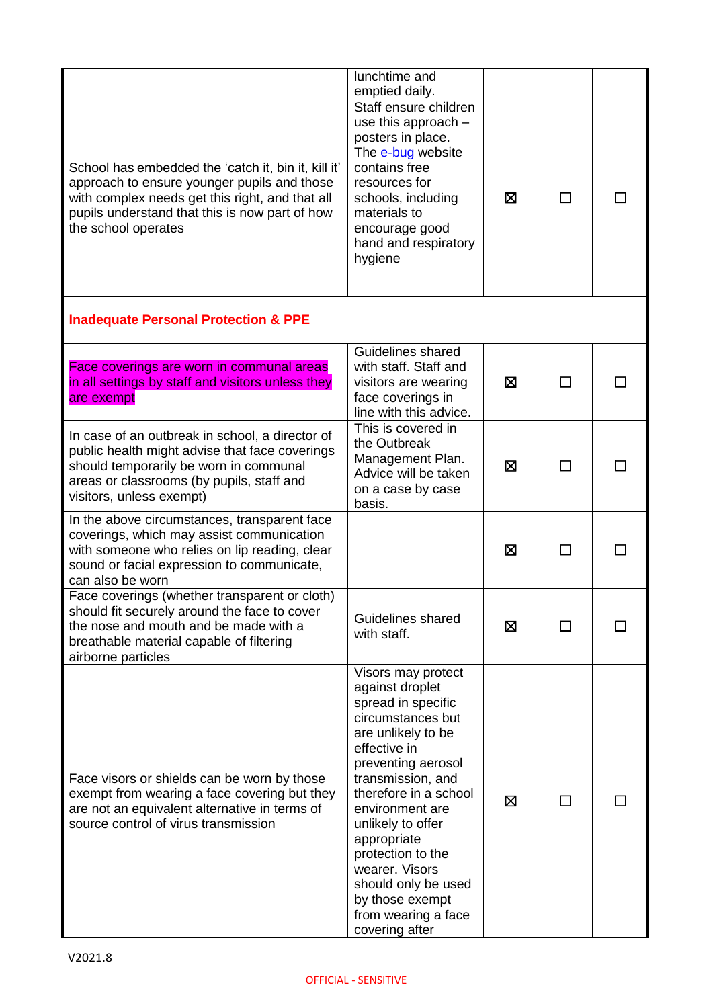|                                                                                                                                                                                                                                | lunchtime and<br>emptied daily.                                                                                                                                                                                                                                                                                                                                             |   |              |  |
|--------------------------------------------------------------------------------------------------------------------------------------------------------------------------------------------------------------------------------|-----------------------------------------------------------------------------------------------------------------------------------------------------------------------------------------------------------------------------------------------------------------------------------------------------------------------------------------------------------------------------|---|--------------|--|
| School has embedded the 'catch it, bin it, kill it'<br>approach to ensure younger pupils and those<br>with complex needs get this right, and that all<br>pupils understand that this is now part of how<br>the school operates | Staff ensure children<br>use this approach $-$<br>posters in place.<br>The e-bug website<br>contains free<br>resources for<br>schools, including<br>materials to<br>encourage good<br>hand and respiratory<br>hygiene                                                                                                                                                       | ⊠ | ΙI           |  |
| <b>Inadequate Personal Protection &amp; PPE</b>                                                                                                                                                                                |                                                                                                                                                                                                                                                                                                                                                                             |   |              |  |
| Face coverings are worn in communal areas<br>in all settings by staff and visitors unless they<br>are exempt                                                                                                                   | Guidelines shared<br>with staff. Staff and<br>visitors are wearing<br>face coverings in<br>line with this advice.                                                                                                                                                                                                                                                           | ⊠ |              |  |
| In case of an outbreak in school, a director of<br>public health might advise that face coverings<br>should temporarily be worn in communal<br>areas or classrooms (by pupils, staff and<br>visitors, unless exempt)           | This is covered in<br>the Outbreak<br>Management Plan.<br>Advice will be taken<br>on a case by case<br>basis.                                                                                                                                                                                                                                                               | ⊠ | П            |  |
| In the above circumstances, transparent face<br>coverings, which may assist communication<br>with someone who relies on lip reading, clear<br>sound or facial expression to communicate,<br>can also be worn                   |                                                                                                                                                                                                                                                                                                                                                                             | ⊠ | $\mathbf{I}$ |  |
| Face coverings (whether transparent or cloth)<br>should fit securely around the face to cover<br>the nose and mouth and be made with a<br>breathable material capable of filtering<br>airborne particles                       | Guidelines shared<br>with staff.                                                                                                                                                                                                                                                                                                                                            | 区 |              |  |
| Face visors or shields can be worn by those<br>exempt from wearing a face covering but they<br>are not an equivalent alternative in terms of<br>source control of virus transmission                                           | Visors may protect<br>against droplet<br>spread in specific<br>circumstances but<br>are unlikely to be<br>effective in<br>preventing aerosol<br>transmission, and<br>therefore in a school<br>environment are<br>unlikely to offer<br>appropriate<br>protection to the<br>wearer. Visors<br>should only be used<br>by those exempt<br>from wearing a face<br>covering after | ⊠ | $\mathsf{I}$ |  |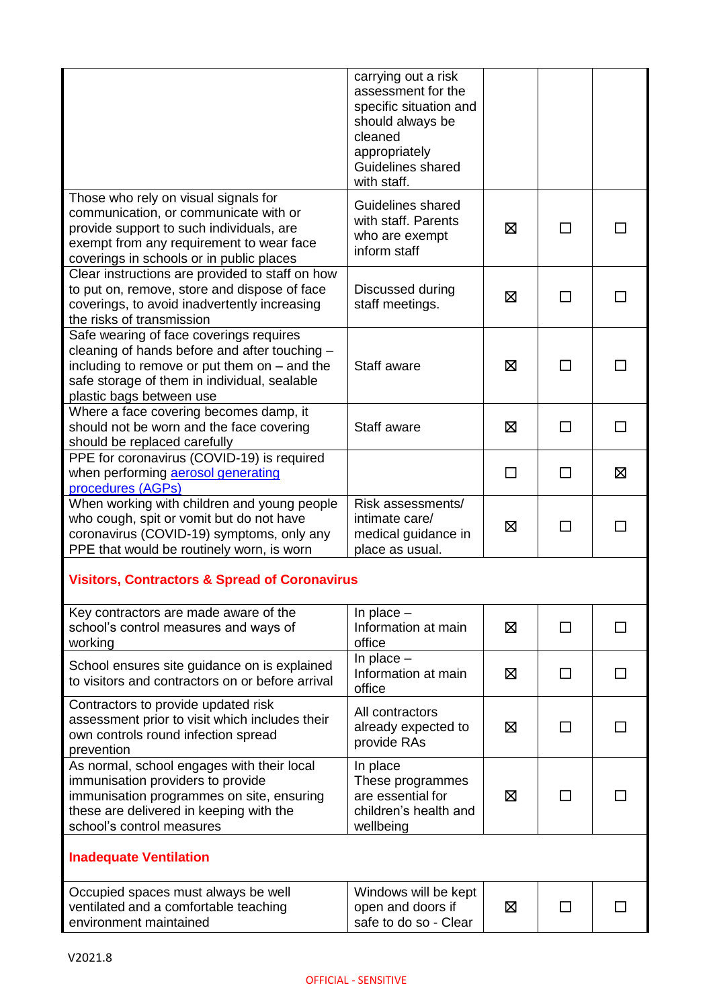|                                                                                                                                                                                                                        | carrying out a risk<br>assessment for the<br>specific situation and<br>should always be<br>cleaned<br>appropriately<br>Guidelines shared<br>with staff. |   |              |              |
|------------------------------------------------------------------------------------------------------------------------------------------------------------------------------------------------------------------------|---------------------------------------------------------------------------------------------------------------------------------------------------------|---|--------------|--------------|
| Those who rely on visual signals for<br>communication, or communicate with or<br>provide support to such individuals, are<br>exempt from any requirement to wear face<br>coverings in schools or in public places      | Guidelines shared<br>with staff. Parents<br>who are exempt<br>inform staff                                                                              | ⊠ | l.           |              |
| Clear instructions are provided to staff on how<br>to put on, remove, store and dispose of face<br>coverings, to avoid inadvertently increasing<br>the risks of transmission                                           | Discussed during<br>staff meetings.                                                                                                                     | ⊠ | $\Box$       |              |
| Safe wearing of face coverings requires<br>cleaning of hands before and after touching -<br>including to remove or put them on $-$ and the<br>safe storage of them in individual, sealable<br>plastic bags between use | Staff aware                                                                                                                                             | ⊠ |              |              |
| Where a face covering becomes damp, it<br>should not be worn and the face covering<br>should be replaced carefully                                                                                                     | Staff aware                                                                                                                                             | ⊠ | ΙI           |              |
| PPE for coronavirus (COVID-19) is required<br>when performing aerosol generating<br>procedures (AGPs)                                                                                                                  |                                                                                                                                                         | П | $\Box$       | ⊠            |
| When working with children and young people<br>who cough, spit or vomit but do not have<br>coronavirus (COVID-19) symptoms, only any<br>PPE that would be routinely worn, is worn                                      | Risk assessments/<br>intimate care/<br>medical guidance in<br>place as usual.                                                                           | ⊠ | ΙI           |              |
| <b>Visitors, Contractors &amp; Spread of Coronavirus</b>                                                                                                                                                               |                                                                                                                                                         |   |              |              |
| Key contractors are made aware of the<br>school's control measures and ways of<br>working                                                                                                                              | In place $-$<br>Information at main<br>office                                                                                                           | ⊠ | П            | $\mathsf{L}$ |
| School ensures site guidance on is explained<br>to visitors and contractors on or before arrival                                                                                                                       | In place $-$<br>Information at main<br>office                                                                                                           | ⊠ | П            |              |
| Contractors to provide updated risk<br>assessment prior to visit which includes their<br>own controls round infection spread<br>prevention                                                                             | All contractors<br>already expected to<br>provide RAs                                                                                                   | ⊠ | $\mathsf{L}$ |              |
| As normal, school engages with their local<br>immunisation providers to provide<br>immunisation programmes on site, ensuring<br>these are delivered in keeping with the<br>school's control measures                   | In place<br>These programmes<br>are essential for<br>children's health and<br>wellbeing                                                                 | ⊠ |              |              |
| <b>Inadequate Ventilation</b>                                                                                                                                                                                          |                                                                                                                                                         |   |              |              |
| Occupied spaces must always be well<br>ventilated and a comfortable teaching<br>environment maintained                                                                                                                 | Windows will be kept<br>open and doors if<br>safe to do so - Clear                                                                                      | ⊠ |              |              |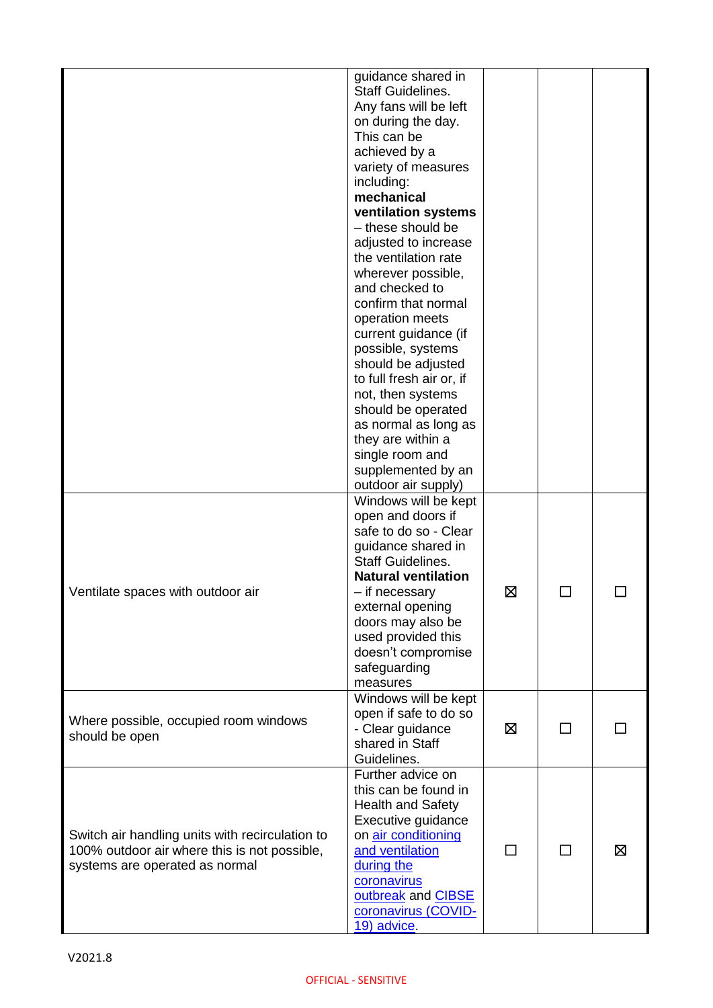|                                                 | guidance shared in         |                |              |   |
|-------------------------------------------------|----------------------------|----------------|--------------|---|
|                                                 | <b>Staff Guidelines.</b>   |                |              |   |
|                                                 | Any fans will be left      |                |              |   |
|                                                 | on during the day.         |                |              |   |
|                                                 | This can be                |                |              |   |
|                                                 | achieved by a              |                |              |   |
|                                                 | variety of measures        |                |              |   |
|                                                 |                            |                |              |   |
|                                                 | including:                 |                |              |   |
|                                                 | mechanical                 |                |              |   |
|                                                 | ventilation systems        |                |              |   |
|                                                 | - these should be          |                |              |   |
|                                                 | adjusted to increase       |                |              |   |
|                                                 | the ventilation rate       |                |              |   |
|                                                 | wherever possible,         |                |              |   |
|                                                 | and checked to             |                |              |   |
|                                                 | confirm that normal        |                |              |   |
|                                                 | operation meets            |                |              |   |
|                                                 | current guidance (if       |                |              |   |
|                                                 | possible, systems          |                |              |   |
|                                                 | should be adjusted         |                |              |   |
|                                                 | to full fresh air or, if   |                |              |   |
|                                                 | not, then systems          |                |              |   |
|                                                 | should be operated         |                |              |   |
|                                                 | as normal as long as       |                |              |   |
|                                                 | they are within a          |                |              |   |
|                                                 |                            |                |              |   |
|                                                 | single room and            |                |              |   |
|                                                 | supplemented by an         |                |              |   |
|                                                 | outdoor air supply)        |                |              |   |
|                                                 | Windows will be kept       |                |              |   |
|                                                 | open and doors if          |                |              |   |
|                                                 | safe to do so - Clear      |                |              |   |
|                                                 | guidance shared in         |                |              |   |
|                                                 | <b>Staff Guidelines.</b>   |                |              |   |
|                                                 | <b>Natural ventilation</b> |                |              |   |
| Ventilate spaces with outdoor air               | - if necessary             | ⊠              | $\mathsf{L}$ |   |
|                                                 | external opening           |                |              |   |
|                                                 | doors may also be          |                |              |   |
|                                                 | used provided this         |                |              |   |
|                                                 | doesn't compromise         |                |              |   |
|                                                 | safeguarding               |                |              |   |
|                                                 | measures                   |                |              |   |
|                                                 | Windows will be kept       |                |              |   |
|                                                 | open if safe to do so      |                |              |   |
| Where possible, occupied room windows           | - Clear guidance           | ⊠              | ΙI           |   |
| should be open                                  | shared in Staff            |                |              |   |
|                                                 | Guidelines.                |                |              |   |
|                                                 | Further advice on          |                |              |   |
|                                                 | this can be found in       |                |              |   |
|                                                 | <b>Health and Safety</b>   |                |              |   |
|                                                 | Executive guidance         |                |              |   |
| Switch air handling units with recirculation to | on air conditioning        |                |              |   |
| 100% outdoor air where this is not possible,    | and ventilation            | $\blacksquare$ |              | ⊠ |
|                                                 |                            |                |              |   |
| systems are operated as normal                  | during the                 |                |              |   |
|                                                 | coronavirus                |                |              |   |
|                                                 | outbreak and CIBSE         |                |              |   |
|                                                 | coronavirus (COVID-        |                |              |   |
|                                                 | 19) advice.                |                |              |   |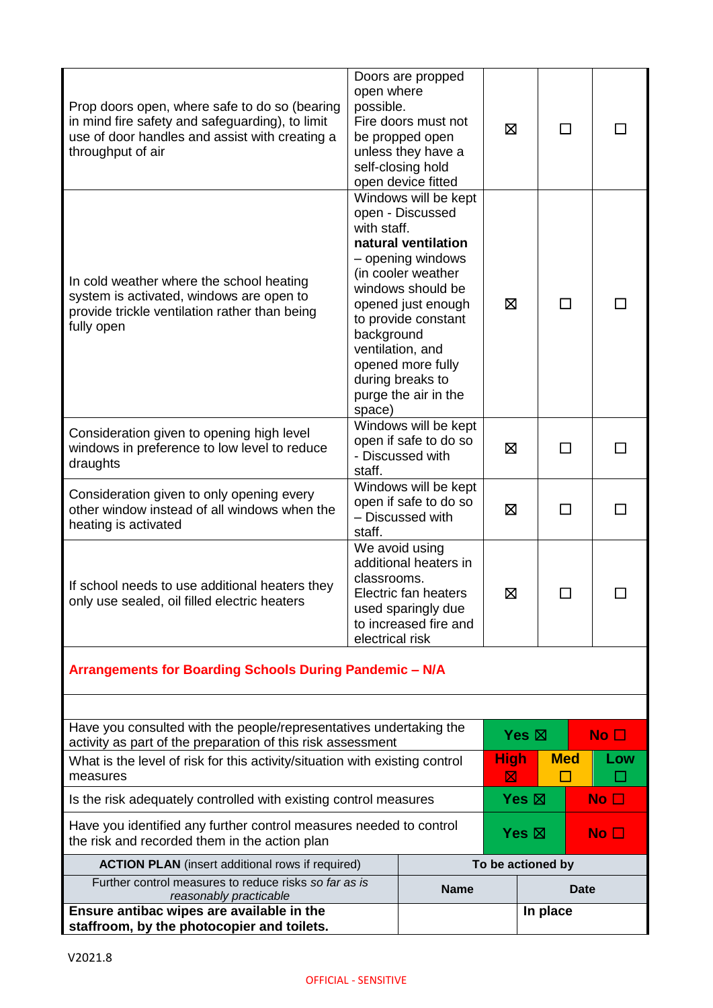| Prop doors open, where safe to do so (bearing<br>in mind fire safety and safeguarding), to limit<br>use of door handles and assist with creating a<br>throughput of air | open where<br>possible.             | Doors are propped<br>Fire doors must not<br>be propped open<br>unless they have a<br>self-closing hold<br>open device fitted                                                                                                                                      | ⊠                  |                                 | $\mathsf{L}$ |    |                 |
|-------------------------------------------------------------------------------------------------------------------------------------------------------------------------|-------------------------------------|-------------------------------------------------------------------------------------------------------------------------------------------------------------------------------------------------------------------------------------------------------------------|--------------------|---------------------------------|--------------|----|-----------------|
| In cold weather where the school heating<br>system is activated, windows are open to<br>provide trickle ventilation rather than being<br>fully open                     | with staff.<br>background<br>space) | Windows will be kept<br>open - Discussed<br>natural ventilation<br>- opening windows<br>(in cooler weather<br>windows should be<br>opened just enough<br>to provide constant<br>ventilation, and<br>opened more fully<br>during breaks to<br>purge the air in the | ⊠                  |                                 | $\perp$      |    |                 |
| Consideration given to opening high level<br>windows in preference to low level to reduce<br>draughts                                                                   | staff.                              | Windows will be kept<br>open if safe to do so<br>- Discussed with                                                                                                                                                                                                 | ⊠<br>ΙI            |                                 |              | ΙI |                 |
| Consideration given to only opening every<br>other window instead of all windows when the<br>heating is activated                                                       | staff.                              | Windows will be kept<br>open if safe to do so<br>- Discussed with                                                                                                                                                                                                 | 区<br>$\mathcal{L}$ |                                 |              |    |                 |
| If school needs to use additional heaters they<br>only use sealed, oil filled electric heaters                                                                          | classrooms.<br>electrical risk      | We avoid using<br>additional heaters in<br>Electric fan heaters<br>used sparingly due<br>to increased fire and                                                                                                                                                    | 区                  |                                 |              |    |                 |
| Arrangements for Boarding Schools During Pandemic - N/A                                                                                                                 |                                     |                                                                                                                                                                                                                                                                   |                    |                                 |              |    |                 |
|                                                                                                                                                                         |                                     |                                                                                                                                                                                                                                                                   |                    |                                 |              |    |                 |
| Have you consulted with the people/representatives undertaking the<br>activity as part of the preparation of this risk assessment                                       |                                     |                                                                                                                                                                                                                                                                   |                    | Yes $\boxtimes$                 |              |    | No <sub>1</sub> |
| What is the level of risk for this activity/situation with existing control<br>measures                                                                                 |                                     |                                                                                                                                                                                                                                                                   |                    | <b>High</b>                     | <b>Med</b>   |    | Low             |
| Is the risk adequately controlled with existing control measures                                                                                                        |                                     |                                                                                                                                                                                                                                                                   |                    | Yes $\boxtimes$                 |              |    | No <sub>1</sub> |
| Have you identified any further control measures needed to control<br>the risk and recorded them in the action plan                                                     |                                     |                                                                                                                                                                                                                                                                   |                    | Yes $\boxtimes$<br>No $\square$ |              |    |                 |
| <b>ACTION PLAN</b> (insert additional rows if required)                                                                                                                 |                                     |                                                                                                                                                                                                                                                                   | To be actioned by  |                                 |              |    |                 |
| Further control measures to reduce risks so far as is<br>reasonably practicable                                                                                         |                                     | <b>Name</b>                                                                                                                                                                                                                                                       |                    |                                 | <b>Date</b>  |    |                 |
| Ensure antibac wipes are available in the<br>staffroom, by the photocopier and toilets.                                                                                 |                                     |                                                                                                                                                                                                                                                                   |                    |                                 | In place     |    |                 |